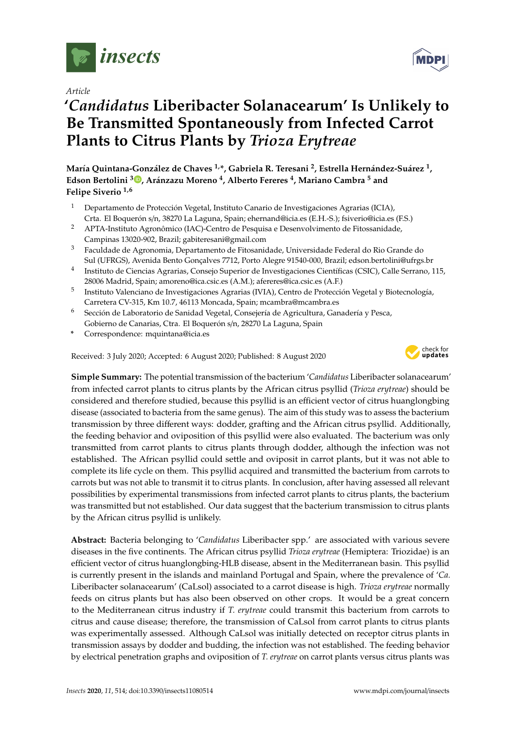

*Article*

# **'***Candidatus* **Liberibacter Solanacearum' Is Unlikely to Be Transmitted Spontaneously from Infected Carrot Plants to Citrus Plants by** *Trioza Erytreae*

**María Quintana-González de Chaves 1,\*, Gabriela R. Teresani <sup>2</sup> , Estrella Hernández-Suárez <sup>1</sup> , Edson Bertolini [3](https://orcid.org/0000-0001-5892-6840) , Aránzazu Moreno <sup>4</sup> , Alberto Fereres <sup>4</sup> , Mariano Cambra <sup>5</sup> and Felipe Siverio 1,6**

- <sup>1</sup> Departamento de Protección Vegetal, Instituto Canario de Investigaciones Agrarias (ICIA), Crta. El Boquerón s/n, 38270 La Laguna, Spain; ehernand@icia.es (E.H.-S.); fsiverio@icia.es (F.S.)
- <sup>2</sup> APTA-Instituto Agronômico (IAC)-Centro de Pesquisa e Desenvolvimento de Fitossanidade, Campinas 13020-902, Brazil; gabiteresani@gmail.com
- <sup>3</sup> Faculdade de Agronomia, Departamento de Fitosanidade, Universidade Federal do Rio Grande do Sul (UFRGS), Avenida Bento Gonçalves 7712, Porto Alegre 91540-000, Brazil; edson.bertolini@ufrgs.br
- 4 Instituto de Ciencias Agrarias, Consejo Superior de Investigaciones Científicas (CSIC), Calle Serrano, 115, 28006 Madrid, Spain; amoreno@ica.csic.es (A.M.); afereres@ica.csic.es (A.F.)
- 5 Instituto Valenciano de Investigaciones Agrarias (IVIA), Centro de Protección Vegetal y Biotecnología, Carretera CV-315, Km 10.7, 46113 Moncada, Spain; mcambra@mcambra.es
- <sup>6</sup> Sección de Laboratorio de Sanidad Vegetal, Consejería de Agricultura, Ganadería y Pesca, Gobierno de Canarias, Ctra. El Boquerón s/n, 28270 La Laguna, Spain
- **\*** Correspondence: mquintana@icia.es

Received: 3 July 2020; Accepted: 6 August 2020; Published: 8 August 2020



**Simple Summary:** The potential transmission of the bacterium '*Candidatus* Liberibacter solanacearum' from infected carrot plants to citrus plants by the African citrus psyllid (*Trioza erytreae*) should be considered and therefore studied, because this psyllid is an efficient vector of citrus huanglongbing disease (associated to bacteria from the same genus). The aim of this study was to assess the bacterium transmission by three different ways: dodder, grafting and the African citrus psyllid. Additionally, the feeding behavior and oviposition of this psyllid were also evaluated. The bacterium was only transmitted from carrot plants to citrus plants through dodder, although the infection was not established. The African psyllid could settle and oviposit in carrot plants, but it was not able to complete its life cycle on them. This psyllid acquired and transmitted the bacterium from carrots to carrots but was not able to transmit it to citrus plants. In conclusion, after having assessed all relevant possibilities by experimental transmissions from infected carrot plants to citrus plants, the bacterium was transmitted but not established. Our data suggest that the bacterium transmission to citrus plants by the African citrus psyllid is unlikely.

**Abstract:** Bacteria belonging to '*Candidatus* Liberibacter spp.' are associated with various severe diseases in the five continents. The African citrus psyllid *Trioza erytreae* (Hemiptera: Triozidae) is an efficient vector of citrus huanglongbing-HLB disease, absent in the Mediterranean basin. This psyllid is currently present in the islands and mainland Portugal and Spain, where the prevalence of '*Ca.* Liberibacter solanacearum' (CaLsol) associated to a carrot disease is high. *Trioza erytreae* normally feeds on citrus plants but has also been observed on other crops. It would be a great concern to the Mediterranean citrus industry if *T. erytreae* could transmit this bacterium from carrots to citrus and cause disease; therefore, the transmission of CaLsol from carrot plants to citrus plants was experimentally assessed. Although CaLsol was initially detected on receptor citrus plants in transmission assays by dodder and budding, the infection was not established. The feeding behavior by electrical penetration graphs and oviposition of *T. erytreae* on carrot plants versus citrus plants was

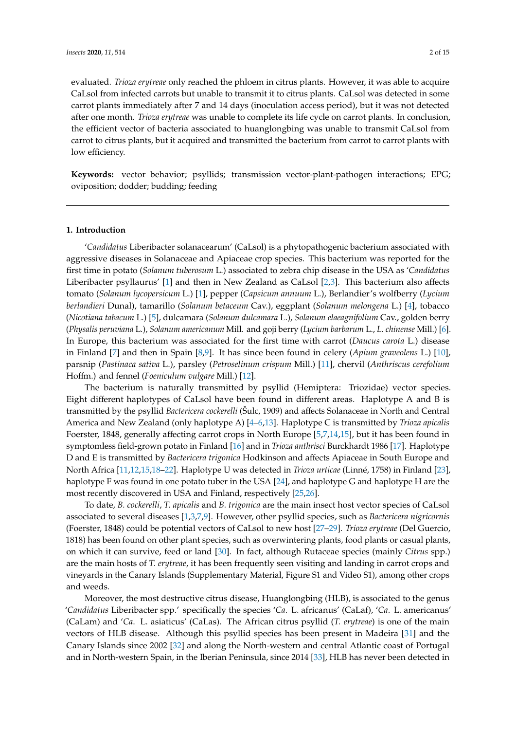evaluated. *Trioza erytreae* only reached the phloem in citrus plants. However, it was able to acquire CaLsol from infected carrots but unable to transmit it to citrus plants. CaLsol was detected in some carrot plants immediately after 7 and 14 days (inoculation access period), but it was not detected after one month. *Trioza erytreae* was unable to complete its life cycle on carrot plants. In conclusion, the efficient vector of bacteria associated to huanglongbing was unable to transmit CaLsol from carrot to citrus plants, but it acquired and transmitted the bacterium from carrot to carrot plants with low efficiency.

**Keywords:** vector behavior; psyllids; transmission vector-plant-pathogen interactions; EPG; oviposition; dodder; budding; feeding

#### **1. Introduction**

'*Candidatus* Liberibacter solanacearum' (CaLsol) is a phytopathogenic bacterium associated with aggressive diseases in Solanaceae and Apiaceae crop species. This bacterium was reported for the first time in potato (*Solanum tuberosum* L.) associated to zebra chip disease in the USA as '*Candidatus* Liberibacter psyllaurus' [\[1\]](#page-10-0) and then in New Zealand as CaLsol [\[2](#page-10-1)[,3\]](#page-10-2). This bacterium also affects tomato (*Solanum lycopersicum* L.) [\[1\]](#page-10-0), pepper (*Capsicum annuum* L.), Berlandier's wolfberry (*Lycium berlandieri* Dunal), tamarillo (*Solanum betaceum* Cav.), eggplant (*Solanum melongena* L.) [\[4\]](#page-10-3), tobacco (*Nicotiana tabacum* L.) [\[5\]](#page-10-4), dulcamara (*Solanum dulcamara* L.), *Solanum elaeagnifolium* Cav., golden berry (*Physalis peruviana* L.), *Solanum americanum* Mill. and goji berry (*Lycium barbarum* L., *L. chinense* Mill.) [\[6\]](#page-10-5). In Europe, this bacterium was associated for the first time with carrot (*Daucus carota* L.) disease in Finland [\[7\]](#page-10-6) and then in Spain [\[8,](#page-11-0)[9\]](#page-11-1). It has since been found in celery (*Apium graveolens* L.) [\[10\]](#page-11-2), parsnip (*Pastinaca sativa* L.), parsley (*Petroselinum crispum* Mill.) [\[11\]](#page-11-3), chervil (*Anthriscus cerefolium* Hoffm.) and fennel (*Foeniculum vulgare* Mill.) [\[12\]](#page-11-4).

The bacterium is naturally transmitted by psyllid (Hemiptera: Triozidae) vector species. Eight different haplotypes of CaLsol have been found in different areas. Haplotype A and B is transmitted by the psyllid *Bactericera cockerelli* (Šulc, 1909) and affects Solanaceae in North and Central America and New Zealand (only haplotype A) [\[4](#page-10-3)[–6,](#page-10-5)[13\]](#page-11-5). Haplotype C is transmitted by *Trioza apicalis* Foerster, 1848, generally affecting carrot crops in North Europe [\[5,](#page-10-4)[7,](#page-10-6)[14](#page-11-6)[,15\]](#page-11-7), but it has been found in symptomless field-grown potato in Finland [\[16\]](#page-11-8) and in *Trioza anthrisci* Burckhardt 1986 [\[17\]](#page-11-9). Haplotype D and E is transmitted by *Bactericera trigonica* Hodkinson and affects Apiaceae in South Europe and North Africa [\[11](#page-11-3)[,12](#page-11-4)[,15,](#page-11-7)[18](#page-11-10)[–22\]](#page-11-11). Haplotype U was detected in *Trioza urticae* (Linné, 1758) in Finland [\[23\]](#page-11-12), haplotype F was found in one potato tuber in the USA [\[24\]](#page-11-13), and haplotype G and haplotype H are the most recently discovered in USA and Finland, respectively [\[25](#page-11-14)[,26\]](#page-11-15).

To date, *B. cockerelli*, *T. apicalis* and *B. trigonica* are the main insect host vector species of CaLsol associated to several diseases [\[1,](#page-10-0)[3,](#page-10-2)[7,](#page-10-6)[9\]](#page-11-1). However, other psyllid species, such as *Bactericera nigricornis* (Foerster, 1848) could be potential vectors of CaLsol to new host [\[27–](#page-12-0)[29\]](#page-12-1). *Trioza erytreae* (Del Guercio, 1818) has been found on other plant species, such as overwintering plants, food plants or casual plants, on which it can survive, feed or land [\[30\]](#page-12-2). In fact, although Rutaceae species (mainly *Citrus* spp.) are the main hosts of *T. erytreae*, it has been frequently seen visiting and landing in carrot crops and vineyards in the Canary Islands (Supplementary Material, Figure S1 and Video S1), among other crops and weeds.

Moreover, the most destructive citrus disease, Huanglongbing (HLB), is associated to the genus '*Candidatus* Liberibacter spp.' specifically the species '*Ca*. L. africanus' (CaLaf), '*Ca*. L. americanus' (CaLam) and '*Ca*. L. asiaticus' (CaLas). The African citrus psyllid (*T. erytreae*) is one of the main vectors of HLB disease. Although this psyllid species has been present in Madeira [\[31\]](#page-12-3) and the Canary Islands since 2002 [\[32\]](#page-12-4) and along the North-western and central Atlantic coast of Portugal and in North-western Spain, in the Iberian Peninsula, since 2014 [\[33\]](#page-12-5), HLB has never been detected in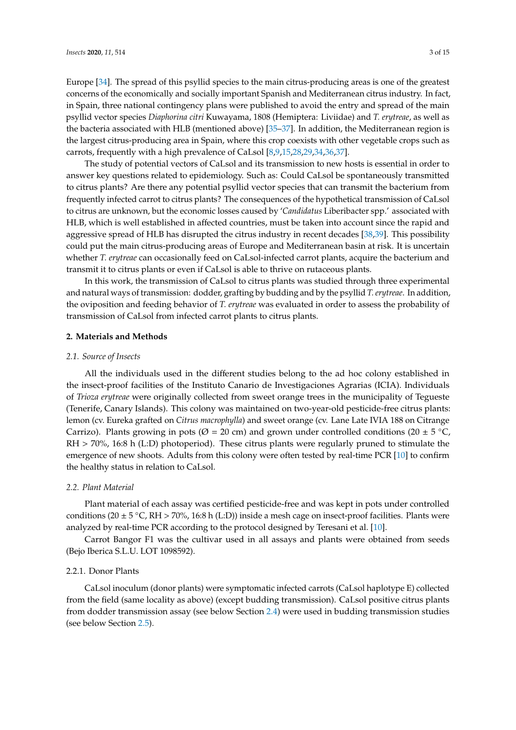Europe [\[34\]](#page-12-6). The spread of this psyllid species to the main citrus-producing areas is one of the greatest concerns of the economically and socially important Spanish and Mediterranean citrus industry. In fact, in Spain, three national contingency plans were published to avoid the entry and spread of the main psyllid vector species *Diaphorina citri* Kuwayama, 1808 (Hemiptera: Liviidae) and *T. erytreae*, as well as the bacteria associated with HLB (mentioned above) [\[35](#page-12-7)[–37\]](#page-12-8). In addition, the Mediterranean region is the largest citrus-producing area in Spain, where this crop coexists with other vegetable crops such as carrots, frequently with a high prevalence of CaLsol [\[8](#page-11-0)[,9](#page-11-1)[,15](#page-11-7)[,28](#page-12-9)[,29](#page-12-1)[,34,](#page-12-6)[36,](#page-12-10)[37\]](#page-12-8).

The study of potential vectors of CaLsol and its transmission to new hosts is essential in order to answer key questions related to epidemiology. Such as: Could CaLsol be spontaneously transmitted to citrus plants? Are there any potential psyllid vector species that can transmit the bacterium from frequently infected carrot to citrus plants? The consequences of the hypothetical transmission of CaLsol to citrus are unknown, but the economic losses caused by '*Candidatus* Liberibacter spp.' associated with HLB, which is well established in affected countries, must be taken into account since the rapid and aggressive spread of HLB has disrupted the citrus industry in recent decades [\[38,](#page-12-11)[39\]](#page-12-12). This possibility could put the main citrus-producing areas of Europe and Mediterranean basin at risk. It is uncertain whether *T. erytreae* can occasionally feed on CaLsol-infected carrot plants, acquire the bacterium and transmit it to citrus plants or even if CaLsol is able to thrive on rutaceous plants.

In this work, the transmission of CaLsol to citrus plants was studied through three experimental and natural ways of transmission: dodder, grafting by budding and by the psyllid *T. erytreae*. In addition, the oviposition and feeding behavior of *T. erytreae* was evaluated in order to assess the probability of transmission of CaLsol from infected carrot plants to citrus plants.

# **2. Materials and Methods**

### *2.1. Source of Insects*

All the individuals used in the different studies belong to the ad hoc colony established in the insect-proof facilities of the Instituto Canario de Investigaciones Agrarias (ICIA). Individuals of *Trioza erytreae* were originally collected from sweet orange trees in the municipality of Tegueste (Tenerife, Canary Islands). This colony was maintained on two-year-old pesticide-free citrus plants: lemon (cv. Eureka grafted on *Citrus macrophylla*) and sweet orange (cv. Lane Late IVIA 188 on Citrange Carrizo). Plants growing in pots ( $\varnothing$  = 20 cm) and grown under controlled conditions (20 ± 5 °C, RH > 70%, 16:8 h (L:D) photoperiod). These citrus plants were regularly pruned to stimulate the emergence of new shoots. Adults from this colony were often tested by real-time PCR [\[10\]](#page-11-2) to confirm the healthy status in relation to CaLsol.

# *2.2. Plant Material*

Plant material of each assay was certified pesticide-free and was kept in pots under controlled conditions (20 ± 5 °C, RH > 70%, 16:8 h (L:D)) inside a mesh cage on insect-proof facilities. Plants were analyzed by real-time PCR according to the protocol designed by Teresani et al. [\[10\]](#page-11-2).

Carrot Bangor F1 was the cultivar used in all assays and plants were obtained from seeds (Bejo Iberica S.L.U. LOT 1098592).

#### 2.2.1. Donor Plants

CaLsol inoculum (donor plants) were symptomatic infected carrots (CaLsol haplotype E) collected from the field (same locality as above) (except budding transmission). CaLsol positive citrus plants from dodder transmission assay (see below Section [2.4\)](#page-3-0) were used in budding transmission studies (see below Section [2.5\)](#page-3-1).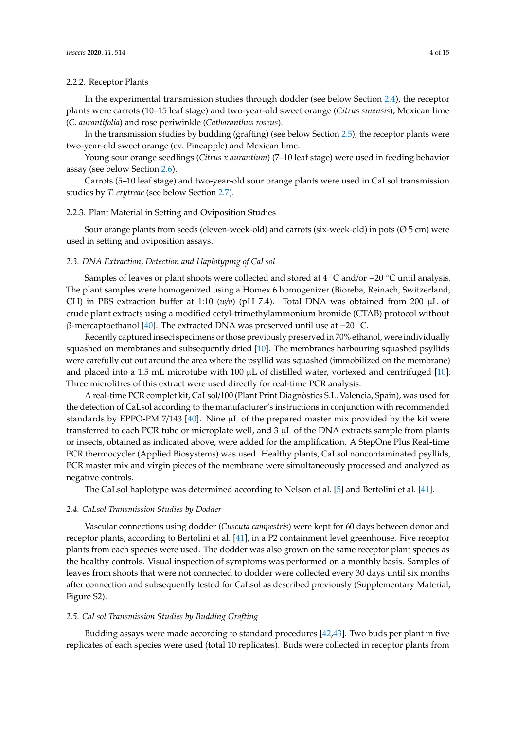## 2.2.2. Receptor Plants

In the experimental transmission studies through dodder (see below Section [2.4\)](#page-3-0), the receptor plants were carrots (10–15 leaf stage) and two-year-old sweet orange (*Citrus sinensis*), Mexican lime (*C. aurantifolia*) and rose periwinkle (*Catharanthus roseus*).

In the transmission studies by budding (grafting) (see below Section [2.5\)](#page-3-1), the receptor plants were two-year-old sweet orange (cv. Pineapple) and Mexican lime.

Young sour orange seedlings (*Citrus x aurantium*) (7–10 leaf stage) were used in feeding behavior assay (see below Section [2.6\)](#page-4-0).

Carrots (5–10 leaf stage) and two-year-old sour orange plants were used in CaLsol transmission studies by *T. erytreae* (see below Section [2.7\)](#page-4-1).

## 2.2.3. Plant Material in Setting and Oviposition Studies

Sour orange plants from seeds (eleven-week-old) and carrots (six-week-old) in pots (Ø 5 cm) were used in setting and oviposition assays.

# *2.3. DNA Extraction, Detection and Haplotyping of CaLsol*

Samples of leaves or plant shoots were collected and stored at 4 ◦C and/or −20 ◦C until analysis. The plant samples were homogenized using a Homex 6 homogenizer (Bioreba, Reinach, Switzerland, CH) in PBS extraction buffer at 1:10 ( $w/v$ ) (pH 7.4). Total DNA was obtained from 200  $\mu$ L of crude plant extracts using a modified cetyl-trimethylammonium bromide (CTAB) protocol without β-mercaptoethanol [\[40\]](#page-12-13). The extracted DNA was preserved until use at −20 ◦C.

Recently captured insect specimens or those previously preserved in 70% ethanol, were individually squashed on membranes and subsequently dried [\[10\]](#page-11-2). The membranes harbouring squashed psyllids were carefully cut out around the area where the psyllid was squashed (immobilized on the membrane) and placed into a 1.5 mL microtube with 100  $\mu$ L of distilled water, vortexed and centrifuged [\[10\]](#page-11-2). Three microlitres of this extract were used directly for real-time PCR analysis.

A real-time PCR complet kit, CaLsol/100 (Plant Print Diagnòstics S.L. Valencia, Spain), was used for the detection of CaLsol according to the manufacturer's instructions in conjunction with recommended standards by EPPO-PM 7/143 [\[40\]](#page-12-13). Nine  $\mu$ L of the prepared master mix provided by the kit were transferred to each PCR tube or microplate well, and  $3 \mu$ L of the DNA extracts sample from plants or insects, obtained as indicated above, were added for the amplification. A StepOne Plus Real-time PCR thermocycler (Applied Biosystems) was used. Healthy plants, CaLsol noncontaminated psyllids, PCR master mix and virgin pieces of the membrane were simultaneously processed and analyzed as negative controls.

The CaLsol haplotype was determined according to Nelson et al. [\[5\]](#page-10-4) and Bertolini et al. [\[41\]](#page-12-14).

#### <span id="page-3-0"></span>*2.4. CaLsol Transmission Studies by Dodder*

Vascular connections using dodder (*Cuscuta campestris*) were kept for 60 days between donor and receptor plants, according to Bertolini et al. [\[41\]](#page-12-14), in a P2 containment level greenhouse. Five receptor plants from each species were used. The dodder was also grown on the same receptor plant species as the healthy controls. Visual inspection of symptoms was performed on a monthly basis. Samples of leaves from shoots that were not connected to dodder were collected every 30 days until six months after connection and subsequently tested for CaLsol as described previously (Supplementary Material, Figure S2).

## <span id="page-3-1"></span>*2.5. CaLsol Transmission Studies by Budding Grafting*

Budding assays were made according to standard procedures [\[42,](#page-12-15)[43\]](#page-12-16). Two buds per plant in five replicates of each species were used (total 10 replicates). Buds were collected in receptor plants from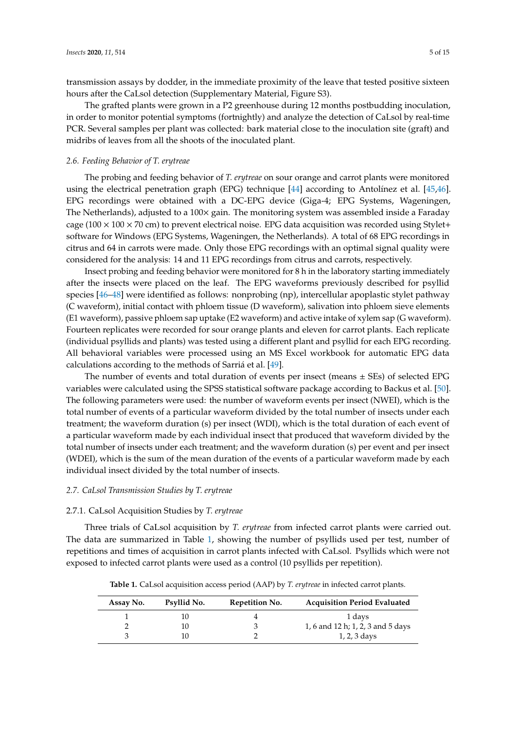transmission assays by dodder, in the immediate proximity of the leave that tested positive sixteen hours after the CaLsol detection (Supplementary Material, Figure S3).

The grafted plants were grown in a P2 greenhouse during 12 months postbudding inoculation, in order to monitor potential symptoms (fortnightly) and analyze the detection of CaLsol by real-time PCR. Several samples per plant was collected: bark material close to the inoculation site (graft) and midribs of leaves from all the shoots of the inoculated plant.

# <span id="page-4-0"></span>*2.6. Feeding Behavior of T. erytreae*

The probing and feeding behavior of *T. erytreae* on sour orange and carrot plants were monitored using the electrical penetration graph (EPG) technique [\[44\]](#page-12-17) according to Antolínez et al. [\[45,](#page-12-18)[46\]](#page-12-19). EPG recordings were obtained with a DC-EPG device (Giga-4; EPG Systems, Wageningen, The Netherlands), adjusted to a 100× gain. The monitoring system was assembled inside a Faraday cage ( $100 \times 100 \times 70$  cm) to prevent electrical noise. EPG data acquisition was recorded using Stylet+ software for Windows (EPG Systems, Wageningen, the Netherlands). A total of 68 EPG recordings in citrus and 64 in carrots were made. Only those EPG recordings with an optimal signal quality were considered for the analysis: 14 and 11 EPG recordings from citrus and carrots, respectively.

Insect probing and feeding behavior were monitored for 8 h in the laboratory starting immediately after the insects were placed on the leaf. The EPG waveforms previously described for psyllid species [\[46](#page-12-19)[–48\]](#page-13-0) were identified as follows: nonprobing (np), intercellular apoplastic stylet pathway (C waveform), initial contact with phloem tissue (D waveform), salivation into phloem sieve elements (E1 waveform), passive phloem sap uptake (E2 waveform) and active intake of xylem sap (G waveform). Fourteen replicates were recorded for sour orange plants and eleven for carrot plants. Each replicate (individual psyllids and plants) was tested using a different plant and psyllid for each EPG recording. All behavioral variables were processed using an MS Excel workbook for automatic EPG data calculations according to the methods of Sarriá et al. [\[49\]](#page-13-1).

The number of events and total duration of events per insect (means  $\pm$  SEs) of selected EPG variables were calculated using the SPSS statistical software package according to Backus et al. [\[50\]](#page-13-2). The following parameters were used: the number of waveform events per insect (NWEI), which is the total number of events of a particular waveform divided by the total number of insects under each treatment; the waveform duration (s) per insect (WDI), which is the total duration of each event of a particular waveform made by each individual insect that produced that waveform divided by the total number of insects under each treatment; and the waveform duration (s) per event and per insect (WDEI), which is the sum of the mean duration of the events of a particular waveform made by each individual insect divided by the total number of insects.

### <span id="page-4-1"></span>*2.7. CaLsol Transmission Studies by T. erytreae*

# 2.7.1. CaLsol Acquisition Studies by *T. erytreae*

Three trials of CaLsol acquisition by *T. erytreae* from infected carrot plants were carried out. The data are summarized in Table [1,](#page-4-2) showing the number of psyllids used per test, number of repetitions and times of acquisition in carrot plants infected with CaLsol. Psyllids which were not exposed to infected carrot plants were used as a control (10 psyllids per repetition).

<span id="page-4-2"></span>

| Assay No. | Psyllid No. | Repetition No. | <b>Acquisition Period Evaluated</b> |
|-----------|-------------|----------------|-------------------------------------|
|           | 10          |                | 1 days                              |
|           | 10          |                | 1, 6 and 12 h; 1, 2, 3 and 5 days   |
| Ő.        |             |                | $1, 2, 3$ days                      |

**Table 1.** CaLsol acquisition access period (AAP) by *T. erytreae* in infected carrot plants.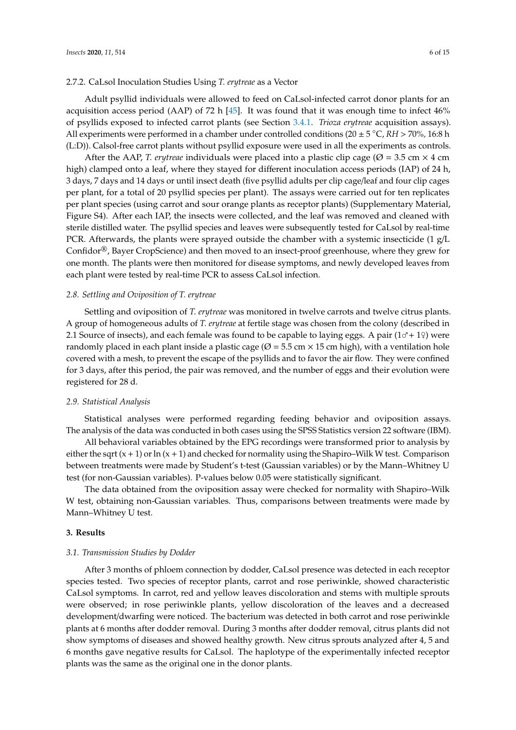## 2.7.2. CaLsol Inoculation Studies Using *T. erytreae* as a Vector

Adult psyllid individuals were allowed to feed on CaLsol-infected carrot donor plants for an acquisition access period (AAP) of 72 h [\[45\]](#page-12-18). It was found that it was enough time to infect 46% of psyllids exposed to infected carrot plants (see Section [3.4.1.](#page-7-0) *Trioza erytreae* acquisition assays). All experiments were performed in a chamber under controlled conditions (20 ± 5 ◦C, *RH* <sup>&</sup>gt; 70%*,* 16:8 h (L:D)). Calsol-free carrot plants without psyllid exposure were used in all the experiments as controls.

After the AAP, *T. erytreae* individuals were placed into a plastic clip cage ( $\varnothing$  = 3.5 cm  $\times$  4 cm high) clamped onto a leaf, where they stayed for different inoculation access periods (IAP) of 24 h, 3 days, 7 days and 14 days or until insect death (five psyllid adults per clip cage/leaf and four clip cages per plant, for a total of 20 psyllid species per plant). The assays were carried out for ten replicates per plant species (using carrot and sour orange plants as receptor plants) (Supplementary Material, Figure S4). After each IAP, the insects were collected, and the leaf was removed and cleaned with sterile distilled water. The psyllid species and leaves were subsequently tested for CaLsol by real-time PCR. Afterwards, the plants were sprayed outside the chamber with a systemic insecticide (1 g/L Confidor®, Bayer CropScience) and then moved to an insect-proof greenhouse, where they grew for one month. The plants were then monitored for disease symptoms, and newly developed leaves from each plant were tested by real-time PCR to assess CaLsol infection.

## *2.8. Settling and Oviposition of T. erytreae*

Settling and oviposition of *T. erytreae* was monitored in twelve carrots and twelve citrus plants. A group of homogeneous adults of *T. erytreae* at fertile stage was chosen from the colony (described in 2.1 Source of insects), and each female was found to be capable to laying eggs. A pair  $(1\sigma + 1\phi)$  were randomly placed in each plant inside a plastic cage ( $\varnothing$  = 5.5 cm  $\times$  15 cm high), with a ventilation hole covered with a mesh, to prevent the escape of the psyllids and to favor the air flow. They were confined for 3 days, after this period, the pair was removed, and the number of eggs and their evolution were registered for 28 d.

# *2.9. Statistical Analysis*

Statistical analyses were performed regarding feeding behavior and oviposition assays. The analysis of the data was conducted in both cases using the SPSS Statistics version 22 software (IBM).

All behavioral variables obtained by the EPG recordings were transformed prior to analysis by either the sqrt  $(x + 1)$  or  $\ln(x + 1)$  and checked for normality using the Shapiro–Wilk W test. Comparison between treatments were made by Student's t-test (Gaussian variables) or by the Mann–Whitney U test (for non-Gaussian variables). P-values below 0.05 were statistically significant.

The data obtained from the oviposition assay were checked for normality with Shapiro–Wilk W test, obtaining non-Gaussian variables. Thus, comparisons between treatments were made by Mann–Whitney U test.

# **3. Results**

# *3.1. Transmission Studies by Dodder*

After 3 months of phloem connection by dodder, CaLsol presence was detected in each receptor species tested. Two species of receptor plants, carrot and rose periwinkle, showed characteristic CaLsol symptoms. In carrot, red and yellow leaves discoloration and stems with multiple sprouts were observed; in rose periwinkle plants, yellow discoloration of the leaves and a decreased development/dwarfing were noticed. The bacterium was detected in both carrot and rose periwinkle plants at 6 months after dodder removal. During 3 months after dodder removal, citrus plants did not show symptoms of diseases and showed healthy growth. New citrus sprouts analyzed after 4, 5 and 6 months gave negative results for CaLsol. The haplotype of the experimentally infected receptor plants was the same as the original one in the donor plants.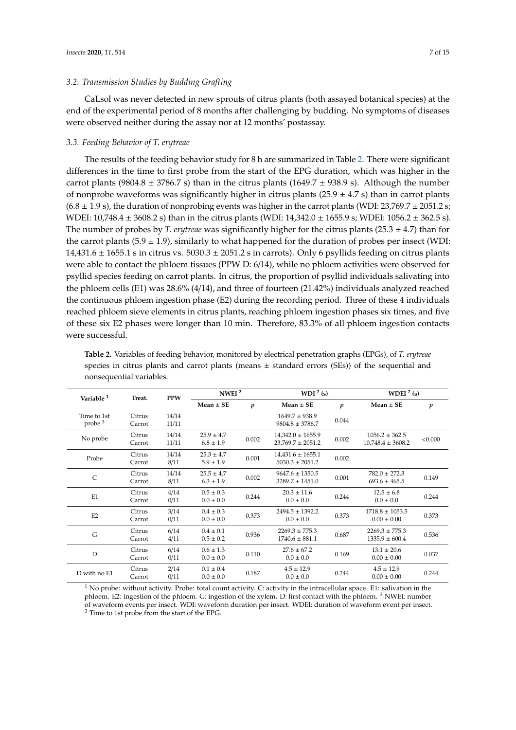CaLsol was never detected in new sprouts of citrus plants (both assayed botanical species) at the end of the experimental period of 8 months after challenging by budding. No symptoms of diseases were observed neither during the assay nor at 12 months' postassay.

#### *3.3. Feeding Behavior of T. erytreae*

The results of the feeding behavior study for 8 h are summarized in Table [2.](#page-6-0) There were significant differences in the time to first probe from the start of the EPG duration, which was higher in the carrot plants (9804.8  $\pm$  3786.7 s) than in the citrus plants (1649.7  $\pm$  938.9 s). Although the number of nonprobe waveforms was significantly higher in citrus plants ( $25.9 \pm 4.7$  s) than in carrot plants  $(6.8 \pm 1.9 \text{ s})$ , the duration of nonprobing events was higher in the carrot plants (WDI: 23,769.7  $\pm$  2051.2 s; WDEI:  $10,748.4 \pm 3608.2$  s) than in the citrus plants (WDI:  $14,342.0 \pm 1655.9$  s; WDEI:  $1056.2 \pm 362.5$  s). The number of probes by *T. erytreae* was significantly higher for the citrus plants (25.3 ± 4.7) than for the carrot plants ( $5.9 \pm 1.9$ ), similarly to what happened for the duration of probes per insect (WDI:  $14,431.6 \pm 1655.1$  s in citrus vs.  $5030.3 \pm 2051.2$  s in carrots). Only 6 psyllids feeding on citrus plants were able to contact the phloem tissues (PPW D: 6/14), while no phloem activities were observed for psyllid species feeding on carrot plants. In citrus, the proportion of psyllid individuals salivating into the phloem cells (E1) was 28.6% (4/14), and three of fourteen (21.42%) individuals analyzed reached the continuous phloem ingestion phase (E2) during the recording period. Three of these 4 individuals reached phloem sieve elements in citrus plants, reaching phloem ingestion phases six times, and five of these six E2 phases were longer than 10 min. Therefore, 83.3% of all phloem ingestion contacts were successful.

| Variable <sup>1</sup>             | Treat.           | <b>PPW</b>     | NWEI <sup>2</sup>               |                  | WDI $2$ (s)                                    |                  | WDEI $2$ (s)                                |                  |
|-----------------------------------|------------------|----------------|---------------------------------|------------------|------------------------------------------------|------------------|---------------------------------------------|------------------|
|                                   |                  |                | $Mean \pm SE$                   | $\boldsymbol{p}$ | $Mean + SE$                                    | $\boldsymbol{p}$ | $Mean \pm SE$                               | $\boldsymbol{p}$ |
| Time to 1st<br>probe <sup>3</sup> | Citrus<br>Carrot | 14/14<br>11/11 |                                 |                  | $1649.7 \pm 938.9$<br>$9804.8 \pm 3786.7$      | 0.044            |                                             |                  |
| No probe                          | Citrus<br>Carrot | 14/14<br>11/11 | $25.9 \pm 4.7$<br>$6.8 \pm 1.9$ | 0.002            | $14,342.0 \pm 1655.9$<br>$23,769.7 \pm 2051.2$ | 0.002            | $1056.2 \pm 362.5$<br>$10,748.4 \pm 3608.2$ | < 0.000          |
| Probe                             | Citrus<br>Carrot | 14/14<br>8/11  | $25.3 \pm 4.7$<br>$5.9 \pm 1.9$ | 0.001            | $14,431.6 \pm 1655.1$<br>$5030.3 \pm 2051.2$   | 0.002            |                                             |                  |
| $\mathsf{C}$                      | Citrus<br>Carrot | 14/14<br>8/11  | $25.5 \pm 4.7$<br>$6.3 \pm 1.9$ | 0.002            | $9647.6 \pm 1350.5$<br>$3289.7 \pm 1451.0$     | 0.001            | $782.0 \pm 272.3$<br>$693.6 \pm 465.5$      | 0.149            |
| E1                                | Citrus<br>Carrot | 4/14<br>0/11   | $0.5 \pm 0.3$<br>$0.0 \pm 0.0$  | 0.244            | $20.3 \pm 11.6$<br>$0.0 \pm 0.0$               | 0.244            | $12.5 \pm 6.8$<br>$0.0 \pm 0.0$             | 0.244            |
| E2                                | Citrus<br>Carrot | 3/14<br>0/11   | $0.4 \pm 0.3$<br>$0.0 \pm 0.0$  | 0.373            | $2494.5 \pm 1392.2$<br>$0.0 \pm 0.0$           | 0.373            | $1718.8 \pm 1053.5$<br>$0.00 \pm 0.00$      | 0.373            |
| G                                 | Citrus<br>Carrot | 6/14<br>4/11   | $0.4 \pm 0.1$<br>$0.5 \pm 0.2$  | 0.936            | $2269.3 \pm 775.3$<br>$1740.6 \pm 881.1$       | 0.687            | $2269.3 \pm 775.3$<br>$1335.9 \pm 600.4$    | 0.536            |
| D                                 | Citrus<br>Carrot | 6/14<br>0/11   | $0.6 \pm 1.3$<br>$0.0 \pm 0.0$  | 0.110            | $27.6 + 67.2$<br>$0.0 \pm 0.0$                 | 0.169            | $13.1 \pm 20.6$<br>$0.00 \pm 0.00$          | 0.037            |
| D with no E1                      | Citrus<br>Carrot | 2/14<br>0/11   | $0.1 \pm 0.4$<br>$0.0 \pm 0.0$  | 0.187            | $4.5 \pm 12.9$<br>$0.0 \pm 0.0$                | 0.244            | $4.5 \pm 12.9$<br>$0.00 \pm 0.00$           | 0.244            |

<span id="page-6-0"></span>**Table 2.** Variables of feeding behavior, monitored by electrical penetration graphs (EPGs), of *T. erytreae* species in citrus plants and carrot plants (means  $\pm$  standard errors (SEs)) of the sequential and nonsequential variables.

 $1$  No probe: without activity. Probe: total count activity. C: activity in the intracellular space. E1: salivation in the phloem. E2: ingestion of the phloem. G: ingestion of the xylem. D: first contact with the phloem. <sup>2</sup> NWEI: number of waveform events per insect. WDI: waveform duration per insect. WDEI: duration of waveform event per insect. <sup>3</sup> Time to 1st probe from the start of the EPG.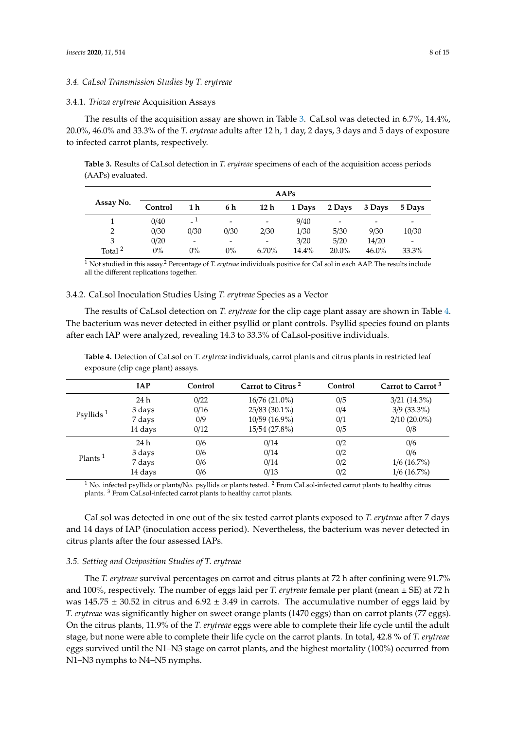# *3.4. CaLsol Transmission Studies by T. erytreae*

## <span id="page-7-0"></span>3.4.1. *Trioza erytreae* Acquisition Assays

The results of the acquisition assay are shown in Table [3.](#page-7-1) CaLsol was detected in 6.7%, 14.4%, 20.0%, 46.0% and 33.3% of the *T. erytreae* adults after 12 h, 1 day, 2 days, 3 days and 5 days of exposure to infected carrot plants, respectively.

<span id="page-7-1"></span>**Table 3.** Results of CaLsol detection in *T. erytreae* specimens of each of the acquisition access periods (AAPs) evaluated.

|                    | AAPs    |                |                          |                          |        |                 |          |                          |
|--------------------|---------|----------------|--------------------------|--------------------------|--------|-----------------|----------|--------------------------|
| Assay No.          | Control | 1 h            | 6 h                      | 12 h                     | 1 Days | 2 Days          | 3 Days   | 5 Days                   |
|                    | 0/40    | $-1$           | $\overline{\phantom{a}}$ | $\overline{\phantom{0}}$ | 9/40   | $\qquad \qquad$ | -        |                          |
| $\overline{2}$     | 0/30    | 0/30           | 0/30                     | 2/30                     | 1/30   | 5/30            | 9/30     | 10/30                    |
| 3                  | 0/20    | $\overline{a}$ | $\overline{\phantom{a}}$ | $\overline{\phantom{a}}$ | 3/20   | 5/20            | 14/20    | $\overline{\phantom{a}}$ |
| Total <sup>2</sup> | $0\%$   | 0%             | $0\%$                    | $6.70\%$                 | 14.4%  | $20.0\%$        | $46.0\%$ | 33.3%                    |

<sup>1</sup> Not studied in this assay.<sup>2</sup> Percentage of *T. erytreae* individuals positive for CaLsol in each AAP. The results include all the different replications together.

# 3.4.2. CaLsol Inoculation Studies Using *T. erytreae* Species as a Vector

The results of CaLsol detection on *T. erytreae* for the clip cage plant assay are shown in Table [4.](#page-7-2) The bacterium was never detected in either psyllid or plant controls. Psyllid species found on plants after each IAP were analyzed, revealing 14.3 to 33.3% of CaLsol-positive individuals.

|                     | <b>IAP</b> | Control | Carrot to Citrus <sup>2</sup> | Control | Carrot to Carrot <sup>3</sup> |
|---------------------|------------|---------|-------------------------------|---------|-------------------------------|
| Psyllids $1$        | 24 h       | 0/22    | $16/76(21.0\%)$               | 0/5     | $3/21$ (14.3%)                |
|                     | 3 days     | 0/16    | 25/83 (30.1%)                 | 0/4     | $3/9$ (33.3%)                 |
|                     | 7 days     | 0/9     | $10/59(16.9\%)$               | 0/1     | $2/10$ (20.0%)                |
|                     | 14 days    | 0/12    | 15/54 (27.8%)                 | 0/5     | 0/8                           |
| Plants <sup>1</sup> | 24 h       | 0/6     | 0/14                          | 0/2     | 0/6                           |
|                     | 3 days     | 0/6     | 0/14                          | 0/2     | 0/6                           |
|                     | 7 days     | 0/6     | 0/14                          | 0/2     | $1/6$ (16.7%)                 |
|                     | 14 days    | 0/6     | 0/13                          | 0/2     | $1/6$ (16.7%)                 |

<span id="page-7-2"></span>**Table 4.** Detection of CaLsol on *T. erytreae* individuals, carrot plants and citrus plants in restricted leaf exposure (clip cage plant) assays.

 $1$  No. infected psyllids or plants/No. psyllids or plants tested.  $2$  From CaLsol-infected carrot plants to healthy citrus plants. <sup>3</sup> From CaLsol-infected carrot plants to healthy carrot plants.

CaLsol was detected in one out of the six tested carrot plants exposed to *T. erytreae* after 7 days and 14 days of IAP (inoculation access period). Nevertheless, the bacterium was never detected in citrus plants after the four assessed IAPs.

#### *3.5. Setting and Oviposition Studies of T. erytreae*

The *T. erytreae* survival percentages on carrot and citrus plants at 72 h after confining were 91.7% and 100%, respectively. The number of eggs laid per *T. erytreae* female per plant (mean ± SE) at 72 h was  $145.75 \pm 30.52$  in citrus and  $6.92 \pm 3.49$  in carrots. The accumulative number of eggs laid by *T. erytreae* was significantly higher on sweet orange plants (1470 eggs) than on carrot plants (77 eggs). On the citrus plants, 11.9% of the *T. erytreae* eggs were able to complete their life cycle until the adult stage, but none were able to complete their life cycle on the carrot plants. In total, 42.8 % of *T. erytreae* eggs survived until the N1–N3 stage on carrot plants, and the highest mortality (100%) occurred from N1–N3 nymphs to N4–N5 nymphs.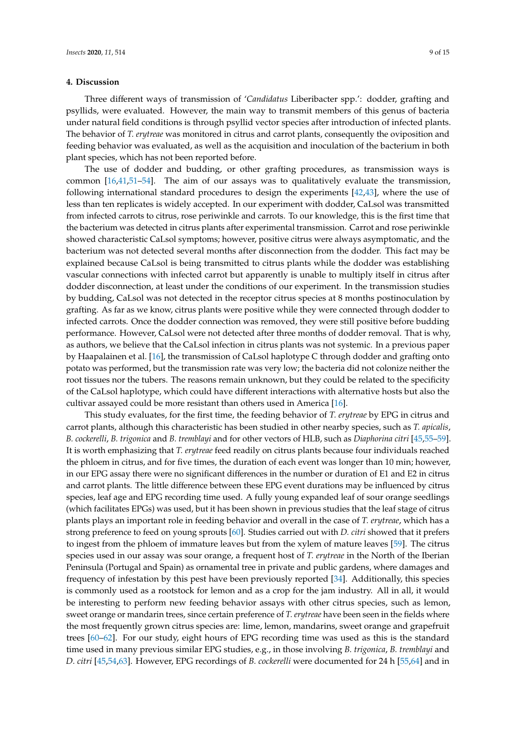# **4. Discussion**

Three different ways of transmission of '*Candidatus* Liberibacter spp.': dodder, grafting and psyllids, were evaluated. However, the main way to transmit members of this genus of bacteria under natural field conditions is through psyllid vector species after introduction of infected plants. The behavior of *T. erytreae* was monitored in citrus and carrot plants, consequently the oviposition and feeding behavior was evaluated, as well as the acquisition and inoculation of the bacterium in both plant species, which has not been reported before.

The use of dodder and budding, or other grafting procedures, as transmission ways is common [\[16](#page-11-8)[,41](#page-12-14)[,51–](#page-13-3)[54\]](#page-13-4). The aim of our assays was to qualitatively evaluate the transmission, following international standard procedures to design the experiments [\[42,](#page-12-15)[43\]](#page-12-16), where the use of less than ten replicates is widely accepted. In our experiment with dodder, CaLsol was transmitted from infected carrots to citrus, rose periwinkle and carrots. To our knowledge, this is the first time that the bacterium was detected in citrus plants after experimental transmission. Carrot and rose periwinkle showed characteristic CaLsol symptoms; however, positive citrus were always asymptomatic, and the bacterium was not detected several months after disconnection from the dodder. This fact may be explained because CaLsol is being transmitted to citrus plants while the dodder was establishing vascular connections with infected carrot but apparently is unable to multiply itself in citrus after dodder disconnection, at least under the conditions of our experiment. In the transmission studies by budding, CaLsol was not detected in the receptor citrus species at 8 months postinoculation by grafting. As far as we know, citrus plants were positive while they were connected through dodder to infected carrots. Once the dodder connection was removed, they were still positive before budding performance. However, CaLsol were not detected after three months of dodder removal. That is why, as authors, we believe that the CaLsol infection in citrus plants was not systemic. In a previous paper by Haapalainen et al. [\[16\]](#page-11-8), the transmission of CaLsol haplotype C through dodder and grafting onto potato was performed, but the transmission rate was very low; the bacteria did not colonize neither the root tissues nor the tubers. The reasons remain unknown, but they could be related to the specificity of the CaLsol haplotype, which could have different interactions with alternative hosts but also the cultivar assayed could be more resistant than others used in America [\[16\]](#page-11-8).

This study evaluates, for the first time, the feeding behavior of *T. erytreae* by EPG in citrus and carrot plants, although this characteristic has been studied in other nearby species, such as *T. apicalis*, *B. cockerelli*, *B. trigonica* and *B. tremblayi* and for other vectors of HLB, such as *Diaphorina citri* [\[45,](#page-12-18)[55–](#page-13-5)[59\]](#page-13-6). It is worth emphasizing that *T. erytreae* feed readily on citrus plants because four individuals reached the phloem in citrus, and for five times, the duration of each event was longer than 10 min; however, in our EPG assay there were no significant differences in the number or duration of E1 and E2 in citrus and carrot plants. The little difference between these EPG event durations may be influenced by citrus species, leaf age and EPG recording time used. A fully young expanded leaf of sour orange seedlings (which facilitates EPGs) was used, but it has been shown in previous studies that the leaf stage of citrus plants plays an important role in feeding behavior and overall in the case of *T. erytreae*, which has a strong preference to feed on young sprouts [\[60\]](#page-13-7). Studies carried out with *D. citri* showed that it prefers to ingest from the phloem of immature leaves but from the xylem of mature leaves [\[59\]](#page-13-6). The citrus species used in our assay was sour orange, a frequent host of *T. erytreae* in the North of the Iberian Peninsula (Portugal and Spain) as ornamental tree in private and public gardens, where damages and frequency of infestation by this pest have been previously reported [\[34\]](#page-12-6). Additionally, this species is commonly used as a rootstock for lemon and as a crop for the jam industry. All in all, it would be interesting to perform new feeding behavior assays with other citrus species, such as lemon, sweet orange or mandarin trees, since certain preference of *T. erytreae* have been seen in the fields where the most frequently grown citrus species are: lime, lemon, mandarins, sweet orange and grapefruit trees [\[60](#page-13-7)[–62\]](#page-13-8). For our study, eight hours of EPG recording time was used as this is the standard time used in many previous similar EPG studies, e.g., in those involving *B. trigonica*, *B. tremblayi* and *D. citri* [\[45,](#page-12-18)[54,](#page-13-4)[63\]](#page-13-9). However, EPG recordings of *B. cockerelli* were documented for 24 h [\[55](#page-13-5)[,64\]](#page-13-10) and in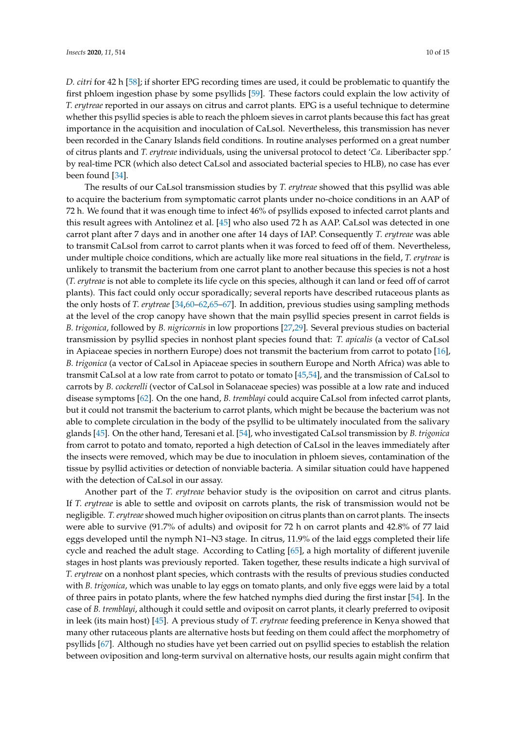*D. citri* for 42 h [\[58\]](#page-13-11); if shorter EPG recording times are used, it could be problematic to quantify the first phloem ingestion phase by some psyllids [\[59\]](#page-13-6). These factors could explain the low activity of *T. erytreae* reported in our assays on citrus and carrot plants. EPG is a useful technique to determine whether this psyllid species is able to reach the phloem sieves in carrot plants because this fact has great importance in the acquisition and inoculation of CaLsol. Nevertheless, this transmission has never been recorded in the Canary Islands field conditions. In routine analyses performed on a great number of citrus plants and *T. erytreae* individuals, using the universal protocol to detect '*Ca*. Liberibacter spp.' by real-time PCR (which also detect CaLsol and associated bacterial species to HLB), no case has ever been found [\[34\]](#page-12-6).

The results of our CaLsol transmission studies by *T. erytreae* showed that this psyllid was able to acquire the bacterium from symptomatic carrot plants under no-choice conditions in an AAP of 72 h. We found that it was enough time to infect 46% of psyllids exposed to infected carrot plants and this result agrees with Antolinez et al. [\[45\]](#page-12-18) who also used 72 h as AAP. CaLsol was detected in one carrot plant after 7 days and in another one after 14 days of IAP. Consequently *T. erytreae* was able to transmit CaLsol from carrot to carrot plants when it was forced to feed off of them. Nevertheless, under multiple choice conditions, which are actually like more real situations in the field, *T. erytreae* is unlikely to transmit the bacterium from one carrot plant to another because this species is not a host (*T. erytreae* is not able to complete its life cycle on this species, although it can land or feed off of carrot plants). This fact could only occur sporadically; several reports have described rutaceous plants as the only hosts of *T. erytreae* [\[34](#page-12-6)[,60](#page-13-7)[–62](#page-13-8)[,65–](#page-13-12)[67\]](#page-14-0). In addition, previous studies using sampling methods at the level of the crop canopy have shown that the main psyllid species present in carrot fields is *B. trigonica*, followed by *B. nigricornis* in low proportions [\[27](#page-12-0)[,29\]](#page-12-1). Several previous studies on bacterial transmission by psyllid species in nonhost plant species found that: *T. apicalis* (a vector of CaLsol in Apiaceae species in northern Europe) does not transmit the bacterium from carrot to potato [\[16\]](#page-11-8), *B. trigonica* (a vector of CaLsol in Apiaceae species in southern Europe and North Africa) was able to transmit CaLsol at a low rate from carrot to potato or tomato [\[45](#page-12-18)[,54\]](#page-13-4), and the transmission of CaLsol to carrots by *B. cockerelli* (vector of CaLsol in Solanaceae species) was possible at a low rate and induced disease symptoms [\[62\]](#page-13-8). On the one hand, *B. tremblayi* could acquire CaLsol from infected carrot plants, but it could not transmit the bacterium to carrot plants, which might be because the bacterium was not able to complete circulation in the body of the psyllid to be ultimately inoculated from the salivary glands [\[45\]](#page-12-18). On the other hand, Teresani et al. [\[54\]](#page-13-4), who investigated CaLsol transmission by *B. trigonica* from carrot to potato and tomato, reported a high detection of CaLsol in the leaves immediately after the insects were removed, which may be due to inoculation in phloem sieves, contamination of the tissue by psyllid activities or detection of nonviable bacteria. A similar situation could have happened with the detection of CaLsol in our assay.

Another part of the *T. erytreae* behavior study is the oviposition on carrot and citrus plants. If *T. erytreae* is able to settle and oviposit on carrots plants, the risk of transmission would not be negligible. *T. erytreae* showed much higher oviposition on citrus plants than on carrot plants. The insects were able to survive (91.7% of adults) and oviposit for 72 h on carrot plants and 42.8% of 77 laid eggs developed until the nymph N1–N3 stage. In citrus, 11.9% of the laid eggs completed their life cycle and reached the adult stage. According to Catling [\[65\]](#page-13-12), a high mortality of different juvenile stages in host plants was previously reported. Taken together, these results indicate a high survival of *T. erytreae* on a nonhost plant species, which contrasts with the results of previous studies conducted with *B. trigonica*, which was unable to lay eggs on tomato plants, and only five eggs were laid by a total of three pairs in potato plants, where the few hatched nymphs died during the first instar [\[54\]](#page-13-4). In the case of *B. tremblayi*, although it could settle and oviposit on carrot plants, it clearly preferred to oviposit in leek (its main host) [\[45\]](#page-12-18). A previous study of *T. erytreae* feeding preference in Kenya showed that many other rutaceous plants are alternative hosts but feeding on them could affect the morphometry of psyllids [\[67\]](#page-14-0). Although no studies have yet been carried out on psyllid species to establish the relation between oviposition and long-term survival on alternative hosts, our results again might confirm that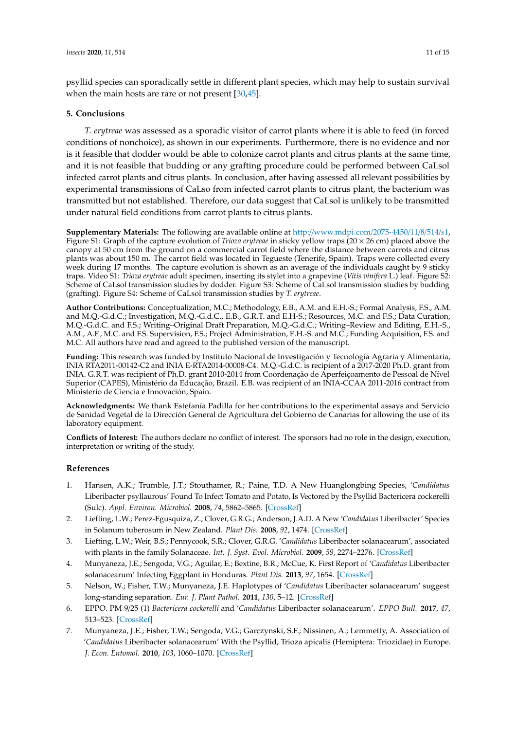psyllid species can sporadically settle in different plant species, which may help to sustain survival when the main hosts are rare or not present [\[30,](#page-12-2)[45\]](#page-12-18).

# **5. Conclusions**

*T. erytreae* was assessed as a sporadic visitor of carrot plants where it is able to feed (in forced conditions of nonchoice), as shown in our experiments. Furthermore, there is no evidence and nor is it feasible that dodder would be able to colonize carrot plants and citrus plants at the same time, and it is not feasible that budding or any grafting procedure could be performed between CaLsol infected carrot plants and citrus plants. In conclusion, after having assessed all relevant possibilities by experimental transmissions of CaLso from infected carrot plants to citrus plant, the bacterium was transmitted but not established. Therefore, our data suggest that CaLsol is unlikely to be transmitted under natural field conditions from carrot plants to citrus plants.

**Supplementary Materials:** The following are available online at http://[www.mdpi.com](http://www.mdpi.com/2075-4450/11/8/514/s1)/2075-4450/11/8/514/s1, Figure S1: Graph of the capture evolution of *Trioza erytreae* in sticky yellow traps (20 × 26 cm) placed above the canopy at 50 cm from the ground on a commercial carrot field where the distance between carrots and citrus plants was about 150 m. The carrot field was located in Tegueste (Tenerife, Spain). Traps were collected every week during 17 months. The capture evolution is shown as an average of the individuals caught by 9 sticky traps. Video S1: *Trioza erytreae* adult specimen, inserting its stylet into a grapevine (*Vitis vinifera* L.) leaf. Figure S2: Scheme of CaLsol transmission studies by dodder. Figure S3: Scheme of CaLsol transmission studies by budding (grafting). Figure S4: Scheme of CaLsol transmission studies by *T. erytreae*.

**Author Contributions:** Conceptualization, M.C.; Methodology, E.B., A.M. and E.H.-S.; Formal Analysis, F.S., A.M. and M.Q.-G.d.C.; Investigation, M.Q.-G.d.C., E.B., G.R.T. and E.H-S.; Resources, M.C. and F.S.; Data Curation, M.Q.-G.d.C. and F.S.; Writing–Original Draft Preparation, M.Q.-G.d.C.; Writing–Review and Editing, E.H.-S., A.M., A.F., M.C. and F.S. Supervision, F.S.; Project Administration, E.H.-S. and M.C.; Funding Acquisition, F.S. and M.C. All authors have read and agreed to the published version of the manuscript.

**Funding:** This research was funded by Instituto Nacional de Investigación y Tecnología Agraria y Alimentaria, INIA RTA2011-00142-C2 and INIA E-RTA2014-00008-C4. M.Q.-G.d.C. is recipient of a 2017-2020 Ph.D. grant from INIA. G.R.T. was recipient of Ph.D. grant 2010-2014 from Coordenação de Aperfeiçoamento de Pessoal de Nível Superior (CAPES), Ministério da Educação, Brazil. E.B. was recipient of an INIA-CCAA 2011-2016 contract from Ministerio de Ciencia e Innovación, Spain.

**Acknowledgments:** We thank Estefanía Padilla for her contributions to the experimental assays and Servicio de Sanidad Vegetal de la Dirección General de Agricultura del Gobierno de Canarias for allowing the use of its laboratory equipment.

**Conflicts of Interest:** The authors declare no conflict of interest. The sponsors had no role in the design, execution, interpretation or writing of the study.

# **References**

- <span id="page-10-0"></span>1. Hansen, A.K.; Trumble, J.T.; Stouthamer, R.; Paine, T.D. A New Huanglongbing Species, '*Candidatus* Liberibacter psyllaurous' Found To Infect Tomato and Potato, Is Vectored by the Psyllid Bactericera cockerelli (Sulc). *Appl. Environ. Microbiol.* **2008**, *74*, 5862–5865. [\[CrossRef\]](http://dx.doi.org/10.1128/AEM.01268-08)
- <span id="page-10-1"></span>2. Liefting, L.W.; Perez-Egusquiza, Z.; Clover, G.R.G.; Anderson, J.A.D. A New '*Candidatus* Liberibacter' Species in Solanum tuberosum in New Zealand. *Plant Dis.* **2008**, *92*, 1474. [\[CrossRef\]](http://dx.doi.org/10.1094/PDIS-92-10-1474A)
- <span id="page-10-2"></span>3. Liefting, L.W.; Weir, B.S.; Pennycook, S.R.; Clover, G.R.G. '*Candidatus* Liberibacter solanacearum', associated with plants in the family Solanaceae. *Int. J. Syst. Evol. Microbiol.* **2009**, *59*, 2274–2276. [\[CrossRef\]](http://dx.doi.org/10.1099/ijs.0.007377-0)
- <span id="page-10-3"></span>4. Munyaneza, J.E.; Sengoda, V.G.; Aguilar, E.; Bextine, B.R.; McCue, K. First Report of '*Candidatus* Liberibacter solanacearum' Infecting Eggplant in Honduras. *Plant Dis.* **2013**, *97*, 1654. [\[CrossRef\]](http://dx.doi.org/10.1094/PDIS-06-13-0641-PDN)
- <span id="page-10-4"></span>5. Nelson, W.; Fisher, T.W.; Munyaneza, J.E. Haplotypes of '*Candidatus* Liberibacter solanacearum' suggest long-standing separation. *Eur. J. Plant Pathol.* **2011**, *130*, 5–12. [\[CrossRef\]](http://dx.doi.org/10.1007/s10658-010-9737-3)
- <span id="page-10-5"></span>6. EPPO. PM 9/25 (1) *Bactericera cockerelli* and '*Candidatus* Liberibacter solanacearum'. *EPPO Bull.* **2017**, *47*, 513–523. [\[CrossRef\]](http://dx.doi.org/10.1111/epp.12442)
- <span id="page-10-6"></span>7. Munyaneza, J.E.; Fisher, T.W.; Sengoda, V.G.; Garczynski, S.F.; Nissinen, A.; Lemmetty, A. Association of '*Candidatus* Liberibacter solanacearum' With the Psyllid, Trioza apicalis (Hemiptera: Triozidae) in Europe. *J. Econ. Èntomol.* **2010**, *103*, 1060–1070. [\[CrossRef\]](http://dx.doi.org/10.1603/EC10027)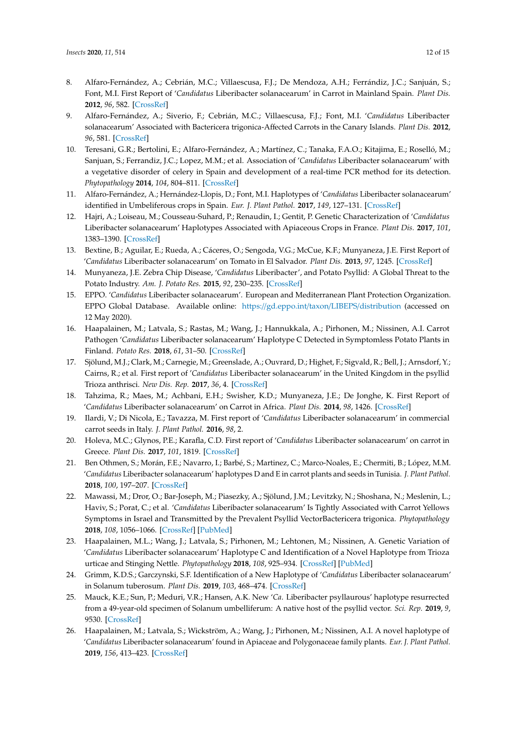- <span id="page-11-0"></span>8. Alfaro-Fernández, A.; Cebrián, M.C.; Villaescusa, F.J.; De Mendoza, A.H.; Ferrándiz, J.C.; Sanjuán, S.; Font, M.I. First Report of '*Candidatus* Liberibacter solanacearum' in Carrot in Mainland Spain. *Plant Dis.* **2012**, *96*, 582. [\[CrossRef\]](http://dx.doi.org/10.1094/PDIS-11-11-0918-PDN)
- <span id="page-11-1"></span>9. Alfaro-Fernández, A.; Siverio, F.; Cebrián, M.C.; Villaescusa, F.J.; Font, M.I. '*Candidatus* Liberibacter solanacearum' Associated with Bactericera trigonica-Affected Carrots in the Canary Islands. *Plant Dis.* **2012**, *96*, 581. [\[CrossRef\]](http://dx.doi.org/10.1094/PDIS-10-11-0878-PDN)
- <span id="page-11-2"></span>10. Teresani, G.R.; Bertolini, E.; Alfaro-Fernández, A.; Martínez, C.; Tanaka, F.A.O.; Kitajima, E.; Roselló, M.; Sanjuan, S.; Ferrandiz, J.C.; Lopez, M.M.; et al. Association of '*Candidatus* Liberibacter solanacearum' with a vegetative disorder of celery in Spain and development of a real-time PCR method for its detection. *Phytopathology* **2014**, *104*, 804–811. [\[CrossRef\]](http://dx.doi.org/10.1094/PHYTO-07-13-0182-R)
- <span id="page-11-3"></span>11. Alfaro-Fernández, A.; Hernández-Llopis, D.; Font, M.I. Haplotypes of '*Candidatus* Liberibacter solanacearum' identified in Umbeliferous crops in Spain. *Eur. J. Plant Pathol.* **2017**, *149*, 127–131. [\[CrossRef\]](http://dx.doi.org/10.1007/s10658-017-1172-2)
- <span id="page-11-4"></span>12. Hajri, A.; Loiseau, M.; Cousseau-Suhard, P.; Renaudin, I.; Gentit, P. Genetic Characterization of '*Candidatus* Liberibacter solanacearum' Haplotypes Associated with Apiaceous Crops in France. *Plant Dis.* **2017**, *101*, 1383–1390. [\[CrossRef\]](http://dx.doi.org/10.1094/PDIS-11-16-1686-RE)
- <span id="page-11-5"></span>13. Bextine, B.; Aguilar, E.; Rueda, A.; Cáceres, O.; Sengoda, V.G.; McCue, K.F.; Munyaneza, J.E. First Report of '*Candidatus* Liberibacter solanacearum' on Tomato in El Salvador. *Plant Dis.* **2013**, *97*, 1245. [\[CrossRef\]](http://dx.doi.org/10.1094/PDIS-03-13-0248-PDN)
- <span id="page-11-6"></span>14. Munyaneza, J.E. Zebra Chip Disease, '*Candidatus* Liberibacter', and Potato Psyllid: A Global Threat to the Potato Industry. *Am. J. Potato Res.* **2015**, *92*, 230–235. [\[CrossRef\]](http://dx.doi.org/10.1007/s12230-015-9448-6)
- <span id="page-11-7"></span>15. EPPO. '*Candidatus* Liberibacter solanacearum'. European and Mediterranean Plant Protection Organization. EPPO Global Database. Available online: https://gd.eppo.int/taxon/LIBEPS/[distribution](https://gd.eppo.int/taxon/LIBEPS/distribution) (accessed on 12 May 2020).
- <span id="page-11-8"></span>16. Haapalainen, M.; Latvala, S.; Rastas, M.; Wang, J.; Hannukkala, A.; Pirhonen, M.; Nissinen, A.I. Carrot Pathogen '*Candidatus* Liberibacter solanacearum' Haplotype C Detected in Symptomless Potato Plants in Finland. *Potato Res.* **2018**, *61*, 31–50. [\[CrossRef\]](http://dx.doi.org/10.1007/s11540-017-9350-3)
- <span id="page-11-9"></span>17. Sjölund, M.J.; Clark, M.; Carnegie, M.; Greenslade, A.; Ouvrard, D.; Highet, F.; Sigvald, R.; Bell, J.; Arnsdorf, Y.; Cairns, R.; et al. First report of '*Candidatus* Liberibacter solanacearum' in the United Kingdom in the psyllid Trioza anthrisci. *New Dis. Rep.* **2017**, *36*, 4. [\[CrossRef\]](http://dx.doi.org/10.5197/j.2044-0588.2017.036.004)
- <span id="page-11-10"></span>18. Tahzima, R.; Maes, M.; Achbani, E.H.; Swisher, K.D.; Munyaneza, J.E.; De Jonghe, K. First Report of '*Candidatus* Liberibacter solanacearum' on Carrot in Africa. *Plant Dis.* **2014**, *98*, 1426. [\[CrossRef\]](http://dx.doi.org/10.1094/PDIS-05-14-0509-PDN)
- 19. Ilardi, V.; Di Nicola, E.; Tavazza, M. First report of '*Candidatus* Liberibacter solanacearum' in commercial carrot seeds in Italy. *J. Plant Pathol.* **2016**, *98*, 2.
- 20. Holeva, M.C.; Glynos, P.E.; Karafla, C.D. First report of '*Candidatus* Liberibacter solanacearum' on carrot in Greece. *Plant Dis.* **2017**, *101*, 1819. [\[CrossRef\]](http://dx.doi.org/10.1094/PDIS-03-17-0419-PDN)
- 21. Ben Othmen, S.; Morán, F.E.; Navarro, I.; Barbé, S.; Martinez, C.; Marco-Noales, E.; Chermiti, B.; López, M.M. '*Candidatus* Liberibacter solanacearum' haplotypes D and E in carrot plants and seeds in Tunisia. *J. Plant Pathol.* **2018**, *100*, 197–207. [\[CrossRef\]](http://dx.doi.org/10.1007/s42161-018-0045-7)
- <span id="page-11-11"></span>22. Mawassi, M.; Dror, O.; Bar-Joseph, M.; Piasezky, A.; Sjölund, J.M.; Levitzky, N.; Shoshana, N.; Meslenin, L.; Haviv, S.; Porat, C.; et al. '*Candidatus* Liberibacter solanacearum' Is Tightly Associated with Carrot Yellows Symptoms in Israel and Transmitted by the Prevalent Psyllid VectorBactericera trigonica. *Phytopathology* **2018**, *108*, 1056–1066. [\[CrossRef\]](http://dx.doi.org/10.1094/PHYTO-10-17-0348-R) [\[PubMed\]](http://www.ncbi.nlm.nih.gov/pubmed/29663849)
- <span id="page-11-12"></span>23. Haapalainen, M.L.; Wang, J.; Latvala, S.; Pirhonen, M.; Lehtonen, M.; Nissinen, A. Genetic Variation of '*Candidatus* Liberibacter solanacearum' Haplotype C and Identification of a Novel Haplotype from Trioza urticae and Stinging Nettle. *Phytopathology* **2018**, *108*, 925–934. [\[CrossRef\]](http://dx.doi.org/10.1094/PHYTO-12-17-0410-R) [\[PubMed\]](http://www.ncbi.nlm.nih.gov/pubmed/29600888)
- <span id="page-11-13"></span>24. Grimm, K.D.S.; Garczynski, S.F. Identification of a New Haplotype of '*Candidatus* Liberibacter solanacearum' in Solanum tuberosum. *Plant Dis.* **2019**, *103*, 468–474. [\[CrossRef\]](http://dx.doi.org/10.1094/PDIS-06-18-0937-RE)
- <span id="page-11-14"></span>25. Mauck, K.E.; Sun, P.; Meduri, V.R.; Hansen, A.K. New '*Ca*. Liberibacter psyllaurous' haplotype resurrected from a 49-year-old specimen of Solanum umbelliferum: A native host of the psyllid vector. *Sci. Rep.* **2019**, *9*, 9530. [\[CrossRef\]](http://dx.doi.org/10.1038/s41598-019-45975-6)
- <span id="page-11-15"></span>26. Haapalainen, M.; Latvala, S.; Wickström, A.; Wang, J.; Pirhonen, M.; Nissinen, A.I. A novel haplotype of '*Candidatus* Liberibacter solanacearum' found in Apiaceae and Polygonaceae family plants. *Eur. J. Plant Pathol.* **2019**, *156*, 413–423. [\[CrossRef\]](http://dx.doi.org/10.1007/s10658-019-01890-0)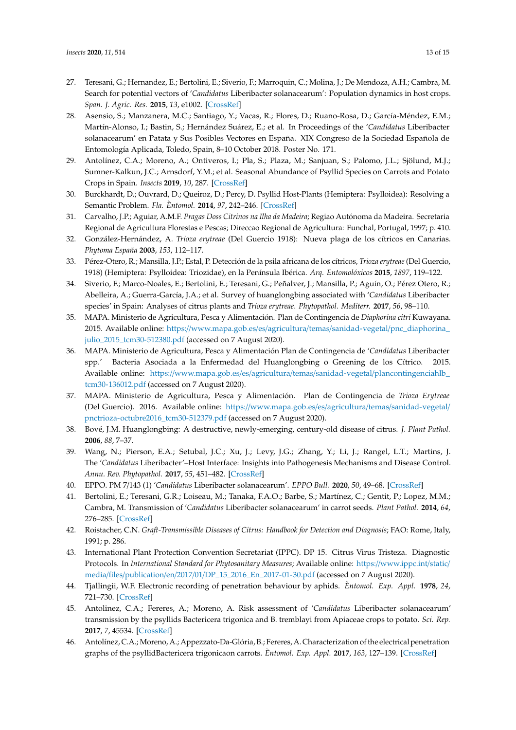- <span id="page-12-0"></span>27. Teresani, G.; Hernandez, E.; Bertolini, E.; Siverio, F.; Marroquin, C.; Molina, J.; De Mendoza, A.H.; Cambra, M. Search for potential vectors of '*Candidatus* Liberibacter solanacearum': Population dynamics in host crops. *Span. J. Agric. Res.* **2015**, *13*, e1002. [\[CrossRef\]](http://dx.doi.org/10.5424/sjar/2015131-6551)
- <span id="page-12-9"></span>28. Asensio, S.; Manzanera, M.C.; Santiago, Y.; Vacas, R.; Flores, D.; Ruano-Rosa, D.; García-Méndez, E.M.; Martín-Alonso, I.; Bastin, S.; Hernández Suárez, E.; et al. In Proceedings of the '*Candidatus* Liberibacter solanacearum' en Patata y Sus Posibles Vectores en España. XIX Congreso de la Sociedad Española de Entomología Aplicada, Toledo, Spain, 8–10 October 2018. Poster No. 171.
- <span id="page-12-1"></span>29. Antolínez, C.A.; Moreno, A.; Ontiveros, I.; Pla, S.; Plaza, M.; Sanjuan, S.; Palomo, J.L.; Sjölund, M.J.; Sumner-Kalkun, J.C.; Arnsdorf, Y.M.; et al. Seasonal Abundance of Psyllid Species on Carrots and Potato Crops in Spain. *Insects* **2019**, *10*, 287. [\[CrossRef\]](http://dx.doi.org/10.3390/insects10090287)
- <span id="page-12-2"></span>30. Burckhardt, D.; Ouvrard, D.; Queiroz, D.; Percy, D. Psyllid Host-Plants (Hemiptera: Psylloidea): Resolving a Semantic Problem. *Fla. Èntomol.* **2014**, *97*, 242–246. [\[CrossRef\]](http://dx.doi.org/10.1653/024.097.0132)
- <span id="page-12-3"></span>31. Carvalho, J.P.; Aguiar, A.M.F. *Pragas Doss Citrinos na Ilha da Madeira*; Regiao Autónoma da Madeira. Secretaria Regional de Agricultura Florestas e Pescas; Direccao Regional de Agricultura: Funchal, Portugal, 1997; p. 410.
- <span id="page-12-4"></span>32. González-Hernández, A. *Trioza erytreae* (Del Guercio 1918): Nueva plaga de los cítricos en Canarias. *Phytoma España* **2003**, *153*, 112–117.
- <span id="page-12-5"></span>33. Pérez-Otero, R.; Mansilla, J.P.; Estal, P. Detección de la psila africana de los cítricos, *Trioza erytreae* (Del Guercio, 1918) (Hemiptera: Psylloidea: Triozidae), en la Península Ibérica. *Arq. Entomolóxicos* **2015**, *1897*, 119–122.
- <span id="page-12-6"></span>34. Siverio, F.; Marco-Noales, E.; Bertolini, E.; Teresani, G.; Peñalver, J.; Mansilla, P.; Aguín, O.; Pérez Otero, R.; Abelleira, A.; Guerra-García, J.A.; et al. Survey of huanglongbing associated with '*Candidatus* Liberibacter species' in Spain: Analyses of citrus plants and *Trioza erytreae*. *Phytopathol. Mediterr.* **2017**, *56*, 98–110.
- <span id="page-12-7"></span>35. MAPA. Ministerio de Agricultura, Pesca y Alimentación. Plan de Contingencia de *Diaphorina citri* Kuwayana. 2015. Available online: https://[www.mapa.gob.es](https://www.mapa.gob.es/es/agricultura/temas/sanidad-vegetal/pnc_diaphorina_julio_2015_tcm30-512380.pdf)/es/agricultura/temas/sanidad-vegetal/pnc\_diaphorina\_ [julio\\_2015\\_tcm30-512380.pdf](https://www.mapa.gob.es/es/agricultura/temas/sanidad-vegetal/pnc_diaphorina_julio_2015_tcm30-512380.pdf) (accessed on 7 August 2020).
- <span id="page-12-10"></span>36. MAPA. Ministerio de Agricultura, Pesca y Alimentación Plan de Contingencia de '*Candidatus* Liberibacter spp.' Bacteria Asociada a la Enfermedad del Huanglongbing o Greening de los Cítrico. 2015. Available online: https://www.mapa.gob.es/es/agricultura/temas/sanidad-vegetal/[plancontingenciahlb\\_](https://www.mapa.gob.es/es/agricultura/temas/sanidad-vegetal/plancontingenciahlb_tcm30-136012.pdf) [tcm30-136012.pdf](https://www.mapa.gob.es/es/agricultura/temas/sanidad-vegetal/plancontingenciahlb_tcm30-136012.pdf) (accessed on 7 August 2020).
- <span id="page-12-8"></span>37. MAPA. Ministerio de Agricultura, Pesca y Alimentación. Plan de Contingencia de *Trioza Erytreae* (Del Guercio). 2016. Available online: https://[www.mapa.gob.es](https://www.mapa.gob.es/es/agricultura/temas/sanidad-vegetal/pnctrioza-octubre2016_tcm30-512379.pdf)/es/agricultura/temas/sanidad-vegetal/ [pnctrioza-octubre2016\\_tcm30-512379.pdf](https://www.mapa.gob.es/es/agricultura/temas/sanidad-vegetal/pnctrioza-octubre2016_tcm30-512379.pdf) (accessed on 7 August 2020).
- <span id="page-12-11"></span>38. Bové, J.M. Huanglongbing: A destructive, newly-emerging, century-old disease of citrus. *J. Plant Pathol.* **2006**, *88*, 7–37.
- <span id="page-12-12"></span>39. Wang, N.; Pierson, E.A.; Setubal, J.C.; Xu, J.; Levy, J.G.; Zhang, Y.; Li, J.; Rangel, L.T.; Martins, J. The '*Candidatus* Liberibacter'–Host Interface: Insights into Pathogenesis Mechanisms and Disease Control. *Annu. Rev. Phytopathol.* **2017**, *55*, 451–482. [\[CrossRef\]](http://dx.doi.org/10.1146/annurev-phyto-080516-035513)
- <span id="page-12-13"></span>40. EPPO. PM 7/143 (1) '*Candidatus* Liberibacter solanacearum'. *EPPO Bull.* **2020**, *50*, 49–68. [\[CrossRef\]](http://dx.doi.org/10.1111/epp.12611)
- <span id="page-12-14"></span>41. Bertolini, E.; Teresani, G.R.; Loiseau, M.; Tanaka, F.A.O.; Barbe, S.; Martínez, C.; Gentit, P.; Lopez, M.M.; Cambra, M. Transmission of '*Candidatus* Liberibacter solanacearum' in carrot seeds. *Plant Pathol.* **2014**, *64*, 276–285. [\[CrossRef\]](http://dx.doi.org/10.1111/ppa.12245)
- <span id="page-12-15"></span>42. Roistacher, C.N. *Graft-Transmissible Diseases of Citrus: Handbook for Detection and Diagnosis*; FAO: Rome, Italy, 1991; p. 286.
- <span id="page-12-16"></span>43. International Plant Protection Convention Secretariat (IPPC). DP 15. Citrus Virus Tristeza. Diagnostic Protocols. In *International Standard for Phytosanitary Measures*; Available online: https://[www.ippc.int](https://www.ippc.int/static/media/files/publication/en/2017/01/DP_15_2016_En_2017-01-30.pdf)/static/ media/files/publication/en/2017/01/[DP\\_15\\_2016\\_En\\_2017-01-30.pdf](https://www.ippc.int/static/media/files/publication/en/2017/01/DP_15_2016_En_2017-01-30.pdf) (accessed on 7 August 2020).
- <span id="page-12-17"></span>44. Tjallingii, W.F. Electronic recording of penetration behaviour by aphids. *Èntomol. Exp. Appl.* **1978**, *24*, 721–730. [\[CrossRef\]](http://dx.doi.org/10.1111/j.1570-7458.1978.tb02836.x)
- <span id="page-12-18"></span>45. Antolinez, C.A.; Fereres, A.; Moreno, A. Risk assessment of '*Candidatus* Liberibacter solanacearum' transmission by the psyllids Bactericera trigonica and B. tremblayi from Apiaceae crops to potato. *Sci. Rep.* **2017**, *7*, 45534. [\[CrossRef\]](http://dx.doi.org/10.1038/srep45534)
- <span id="page-12-19"></span>46. Antolínez, C.A.; Moreno, A.; Appezzato-Da-Glória, B.; Fereres, A. Characterization of the electrical penetration graphs of the psyllidBactericera trigonicaon carrots. *Èntomol. Exp. Appl.* **2017**, *163*, 127–139. [\[CrossRef\]](http://dx.doi.org/10.1111/eea.12565)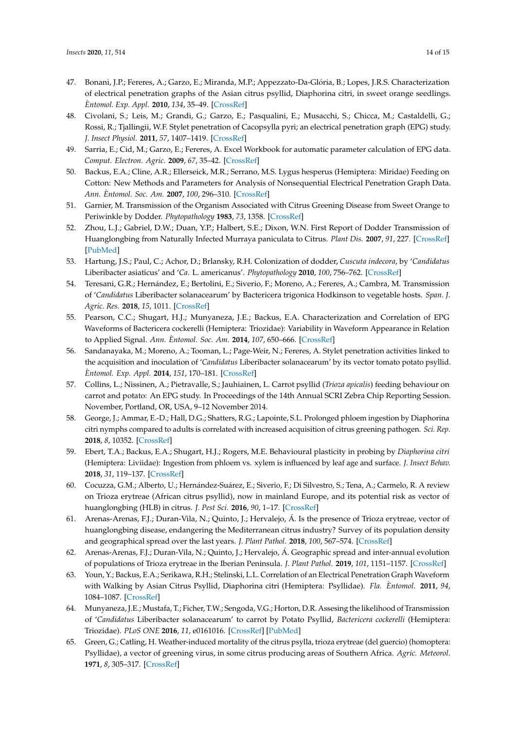- 47. Bonani, J.P.; Fereres, A.; Garzo, E.; Miranda, M.P.; Appezzato-Da-Glória, B.; Lopes, J.R.S. Characterization of electrical penetration graphs of the Asian citrus psyllid, Diaphorina citri, in sweet orange seedlings. *Èntomol. Exp. Appl.* **2010**, *134*, 35–49. [\[CrossRef\]](http://dx.doi.org/10.1111/j.1570-7458.2009.00937.x)
- <span id="page-13-0"></span>48. Civolani, S.; Leis, M.; Grandi, G.; Garzo, E.; Pasqualini, E.; Musacchi, S.; Chicca, M.; Castaldelli, G.; Rossi, R.; Tjallingii, W.F. Stylet penetration of Cacopsylla pyri; an electrical penetration graph (EPG) study. *J. Insect Physiol.* **2011**, *57*, 1407–1419. [\[CrossRef\]](http://dx.doi.org/10.1016/j.jinsphys.2011.07.008)
- <span id="page-13-1"></span>49. Sarria, E.; Cid, M.; Garzo, E.; Fereres, A. Excel Workbook for automatic parameter calculation of EPG data. *Comput. Electron. Agric.* **2009**, *67*, 35–42. [\[CrossRef\]](http://dx.doi.org/10.1016/j.compag.2009.02.006)
- <span id="page-13-2"></span>50. Backus, E.A.; Cline, A.R.; Ellerseick, M.R.; Serrano, M.S. Lygus hesperus (Hemiptera: Miridae) Feeding on Cotton: New Methods and Parameters for Analysis of Nonsequential Electrical Penetration Graph Data. *Ann. Èntomol. Soc. Am.* **2007**, *100*, 296–310. [\[CrossRef\]](http://dx.doi.org/10.1603/0013-8746(2007)100[296:LHHMFO]2.0.CO;2)
- <span id="page-13-3"></span>51. Garnier, M. Transmission of the Organism Associated with Citrus Greening Disease from Sweet Orange to Periwinkle by Dodder. *Phytopathology* **1983**, *73*, 1358. [\[CrossRef\]](http://dx.doi.org/10.1094/Phyto-73-1358)
- 52. Zhou, L.J.; Gabriel, D.W.; Duan, Y.P.; Halbert, S.E.; Dixon, W.N. First Report of Dodder Transmission of Huanglongbing from Naturally Infected Murraya paniculata to Citrus. *Plant Dis.* **2007**, *91*, 227. [\[CrossRef\]](http://dx.doi.org/10.1094/PDIS-91-2-0227B) [\[PubMed\]](http://www.ncbi.nlm.nih.gov/pubmed/30781013)
- 53. Hartung, J.S.; Paul, C.; Achor, D.; Brlansky, R.H. Colonization of dodder, *Cuscuta indecora*, by '*Candidatus* Liberibacter asiaticus' and '*Ca*. L. americanus'. *Phytopathology* **2010**, *100*, 756–762. [\[CrossRef\]](http://dx.doi.org/10.1094/PHYTO-100-8-0756)
- <span id="page-13-4"></span>54. Teresani, G.R.; Hernández, E.; Bertolini, E.; Siverio, F.; Moreno, A.; Fereres, A.; Cambra, M. Transmission of '*Candidatus* Liberibacter solanacearum' by Bactericera trigonica Hodkinson to vegetable hosts. *Span. J. Agric. Res.* **2018**, *15*, 1011. [\[CrossRef\]](http://dx.doi.org/10.5424/sjar/2017154-10762)
- <span id="page-13-5"></span>55. Pearson, C.C.; Shugart, H.J.; Munyaneza, J.E.; Backus, E.A. Characterization and Correlation of EPG Waveforms of Bactericera cockerelli (Hemiptera: Triozidae): Variability in Waveform Appearance in Relation to Applied Signal. *Ann. Èntomol. Soc. Am.* **2014**, *107*, 650–666. [\[CrossRef\]](http://dx.doi.org/10.1603/AN13178)
- 56. Sandanayaka, M.; Moreno, A.; Tooman, L.; Page-Weir, N.; Fereres, A. Stylet penetration activities linked to the acquisition and inoculation of '*Candidatus* Liberibacter solanacearum' by its vector tomato potato psyllid. *Èntomol. Exp. Appl.* **2014**, *151*, 170–181. [\[CrossRef\]](http://dx.doi.org/10.1111/eea.12179)
- 57. Collins, L.; Nissinen, A.; Pietravalle, S.; Jauhiainen, L. Carrot psyllid (*Trioza apicalis*) feeding behaviour on carrot and potato: An EPG study. In Proceedings of the 14th Annual SCRI Zebra Chip Reporting Session. November, Portland, OR, USA, 9–12 November 2014.
- <span id="page-13-11"></span>58. George, J.; Ammar, E.-D.; Hall, D.G.; Shatters, R.G.; Lapointe, S.L. Prolonged phloem ingestion by Diaphorina citri nymphs compared to adults is correlated with increased acquisition of citrus greening pathogen. *Sci. Rep.* **2018**, *8*, 10352. [\[CrossRef\]](http://dx.doi.org/10.1038/s41598-018-28442-6)
- <span id="page-13-6"></span>59. Ebert, T.A.; Backus, E.A.; Shugart, H.J.; Rogers, M.E. Behavioural plasticity in probing by *Diaphorina citri* (Hemiptera: Liviidae): Ingestion from phloem vs. xylem is influenced by leaf age and surface. *J. Insect Behav.* **2018**, *31*, 119–137. [\[CrossRef\]](http://dx.doi.org/10.1007/s10905-018-9666-0)
- <span id="page-13-7"></span>60. Cocuzza, G.M.; Alberto, U.; Hernández-Suárez, E.; Siverio, F.; Di Silvestro, S.; Tena, A.; Carmelo, R. A review on Trioza erytreae (African citrus psyllid), now in mainland Europe, and its potential risk as vector of huanglongbing (HLB) in citrus. *J. Pest Sci.* **2016**, *90*, 1–17. [\[CrossRef\]](http://dx.doi.org/10.1007/s10340-016-0804-1)
- 61. Arenas-Arenas, F.J.; Duran-Vila, N.; Quinto, J.; Hervalejo, Á. Is the presence of Trioza erytreae, vector of huanglongbing disease, endangering the Mediterranean citrus industry? Survey of its population density and geographical spread over the last years. *J. Plant Pathol.* **2018**, *100*, 567–574. [\[CrossRef\]](http://dx.doi.org/10.1007/s42161-018-0109-8)
- <span id="page-13-8"></span>62. Arenas-Arenas, F.J.; Duran-Vila, N.; Quinto, J.; Hervalejo, Á. Geographic spread and inter-annual evolution of populations of Trioza erytreae in the Iberian Peninsula. *J. Plant Pathol.* **2019**, *101*, 1151–1157. [\[CrossRef\]](http://dx.doi.org/10.1007/s42161-019-00301-x)
- <span id="page-13-9"></span>63. Youn, Y.; Backus, E.A.; Serikawa, R.H.; Stelinski, L.L. Correlation of an Electrical Penetration Graph Waveform with Walking by Asian Citrus Psyllid, Diaphorina citri (Hemiptera: Psyllidae). *Fla. Èntomol.* **2011**, *94*, 1084–1087. [\[CrossRef\]](http://dx.doi.org/10.1653/024.094.0456)
- <span id="page-13-10"></span>64. Munyaneza, J.E.; Mustafa, T.; Ficher, T.W.; Sengoda, V.G.; Horton, D.R. Assesing the likelihood of Transmission of '*Candidatus* Liberibacter solanacearum' to carrot by Potato Psyllid, *Bactericera cockerelli* (Hemiptera: Triozidae). *PLoS ONE* **2016**, *11*, e0161016. [\[CrossRef\]](http://dx.doi.org/10.1371/journal.pone.0161016) [\[PubMed\]](http://www.ncbi.nlm.nih.gov/pubmed/27525703)
- <span id="page-13-12"></span>65. Green, G.; Catling, H. Weather-induced mortality of the citrus psylla, trioza erytreae (del guercio) (homoptera: Psyllidae), a vector of greening virus, in some citrus producing areas of Southern Africa. *Agric. Meteorol.* **1971**, *8*, 305–317. [\[CrossRef\]](http://dx.doi.org/10.1016/0002-1571(71)90118-X)